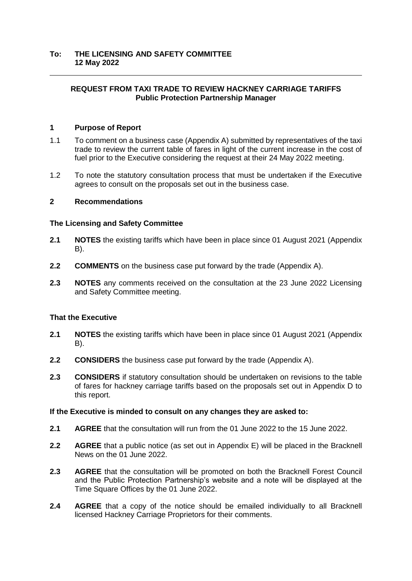# **REQUEST FROM TAXI TRADE TO REVIEW HACKNEY CARRIAGE TARIFFS Public Protection Partnership Manager**

## **1 Purpose of Report**

- 1.1 To comment on a business case (Appendix A) submitted by representatives of the taxi trade to review the current table of fares in light of the current increase in the cost of fuel prior to the Executive considering the request at their 24 May 2022 meeting.
- 1.2 To note the statutory consultation process that must be undertaken if the Executive agrees to consult on the proposals set out in the business case.

### **2 Recommendations**

### **The Licensing and Safety Committee**

- **2.1 NOTES** the existing tariffs which have been in place since 01 August 2021 (Appendix B).
- **2.2 COMMENTS** on the business case put forward by the trade (Appendix A).
- **2.3 NOTES** any comments received on the consultation at the 23 June 2022 Licensing and Safety Committee meeting.

### **That the Executive**

- **2.1 NOTES** the existing tariffs which have been in place since 01 August 2021 (Appendix B).
- **2.2 CONSIDERS** the business case put forward by the trade (Appendix A).
- **2.3 CONSIDERS** if statutory consultation should be undertaken on revisions to the table of fares for hackney carriage tariffs based on the proposals set out in Appendix D to this report.

### **If the Executive is minded to consult on any changes they are asked to:**

- **2.1 AGREE** that the consultation will run from the 01 June 2022 to the 15 June 2022.
- **2.2 AGREE** that a public notice (as set out in Appendix E) will be placed in the Bracknell News on the 01 June 2022.
- **2.3 AGREE** that the consultation will be promoted on both the Bracknell Forest Council and the Public Protection Partnership's website and a note will be displayed at the Time Square Offices by the 01 June 2022.
- **2.4 AGREE** that a copy of the notice should be emailed individually to all Bracknell licensed Hackney Carriage Proprietors for their comments.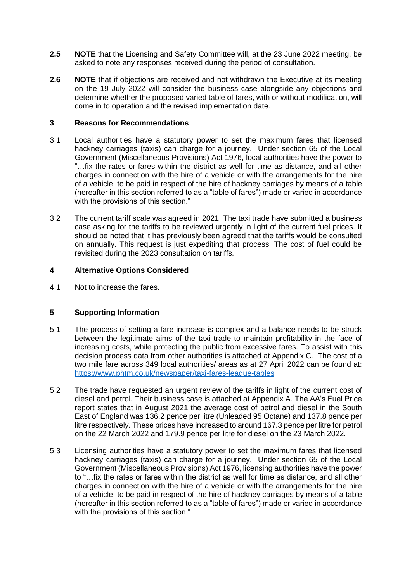- **2.5 NOTE** that the Licensing and Safety Committee will, at the 23 June 2022 meeting, be asked to note any responses received during the period of consultation.
- **2.6 NOTE** that if objections are received and not withdrawn the Executive at its meeting on the 19 July 2022 will consider the business case alongside any objections and determine whether the proposed varied table of fares, with or without modification, will come in to operation and the revised implementation date.

### **3 Reasons for Recommendations**

- 3.1 Local authorities have a statutory power to set the maximum fares that licensed hackney carriages (taxis) can charge for a journey. Under section 65 of the Local Government (Miscellaneous Provisions) Act 1976, local authorities have the power to "…fix the rates or fares within the district as well for time as distance, and all other charges in connection with the hire of a vehicle or with the arrangements for the hire of a vehicle, to be paid in respect of the hire of hackney carriages by means of a table (hereafter in this section referred to as a "table of fares") made or varied in accordance with the provisions of this section."
- 3.2 The current tariff scale was agreed in 2021. The taxi trade have submitted a business case asking for the tariffs to be reviewed urgently in light of the current fuel prices. It should be noted that it has previously been agreed that the tariffs would be consulted on annually. This request is just expediting that process. The cost of fuel could be revisited during the 2023 consultation on tariffs.

## **4 Alternative Options Considered**

4.1 Not to increase the fares.

## **5 Supporting Information**

- 5.1 The process of setting a fare increase is complex and a balance needs to be struck between the legitimate aims of the taxi trade to maintain profitability in the face of increasing costs, while protecting the public from excessive fares. To assist with this decision process data from other authorities is attached at Appendix C. The cost of a two mile fare across 349 local authorities/ areas as at 27 April 2022 can be found at: <https://www.phtm.co.uk/newspaper/taxi-fares-league-tables>
- 5.2 The trade have requested an urgent review of the tariffs in light of the current cost of diesel and petrol. Their business case is attached at Appendix A. The AA's Fuel Price report states that in August 2021 the average cost of petrol and diesel in the South East of England was 136.2 pence per litre (Unleaded 95 Octane) and 137.8 pence per litre respectively. These prices have increased to around 167.3 pence per litre for petrol on the 22 March 2022 and 179.9 pence per litre for diesel on the 23 March 2022.
- 5.3 Licensing authorities have a statutory power to set the maximum fares that licensed hackney carriages (taxis) can charge for a journey. Under section 65 of the Local Government (Miscellaneous Provisions) Act 1976, licensing authorities have the power to "…fix the rates or fares within the district as well for time as distance, and all other charges in connection with the hire of a vehicle or with the arrangements for the hire of a vehicle, to be paid in respect of the hire of hackney carriages by means of a table (hereafter in this section referred to as a "table of fares") made or varied in accordance with the provisions of this section."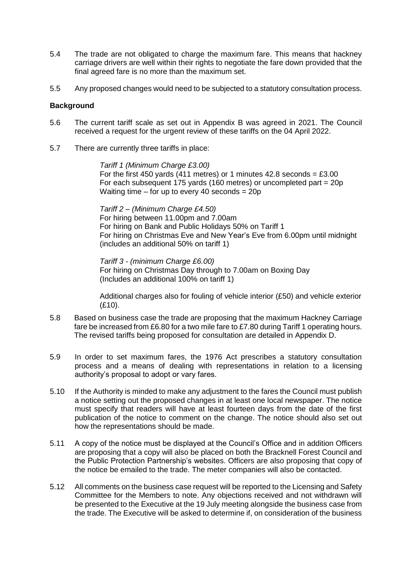- 5.4 The trade are not obligated to charge the maximum fare. This means that hackney carriage drivers are well within their rights to negotiate the fare down provided that the final agreed fare is no more than the maximum set.
- 5.5 Any proposed changes would need to be subjected to a statutory consultation process.

## **Background**

- 5.6 The current tariff scale as set out in Appendix B was agreed in 2021. The Council received a request for the urgent review of these tariffs on the 04 April 2022.
- 5.7 There are currently three tariffs in place:

*Tariff 1 (Minimum Charge £3.00)* For the first 450 yards (411 metres) or 1 minutes 42.8 seconds =  $£3.00$ For each subsequent 175 yards (160 metres) or uncompleted part = 20p Waiting time  $-$  for up to every 40 seconds  $= 20p$ 

*Tariff 2 – (Minimum Charge £4.50)* For hiring between 11.00pm and 7.00am For hiring on Bank and Public Holidays 50% on Tariff 1 For hiring on Christmas Eve and New Year's Eve from 6.00pm until midnight (includes an additional 50% on tariff 1)

*Tariff 3 - (minimum Charge £6.00)* For hiring on Christmas Day through to 7.00am on Boxing Day (Includes an additional 100% on tariff 1)

Additional charges also for fouling of vehicle interior (£50) and vehicle exterior (£10).

- 5.8 Based on business case the trade are proposing that the maximum Hackney Carriage fare be increased from £6.80 for a two mile fare to £7.80 during Tariff 1 operating hours. The revised tariffs being proposed for consultation are detailed in Appendix D.
- 5.9 In order to set maximum fares, the 1976 Act prescribes a statutory consultation process and a means of dealing with representations in relation to a licensing authority's proposal to adopt or vary fares.
- 5.10 If the Authority is minded to make any adjustment to the fares the Council must publish a notice setting out the proposed changes in at least one local newspaper. The notice must specify that readers will have at least fourteen days from the date of the first publication of the notice to comment on the change. The notice should also set out how the representations should be made.
- 5.11 A copy of the notice must be displayed at the Council's Office and in addition Officers are proposing that a copy will also be placed on both the Bracknell Forest Council and the Public Protection Partnership's websites. Officers are also proposing that copy of the notice be emailed to the trade. The meter companies will also be contacted.
- 5.12 All comments on the business case request will be reported to the Licensing and Safety Committee for the Members to note. Any objections received and not withdrawn will be presented to the Executive at the 19 July meeting alongside the business case from the trade. The Executive will be asked to determine if, on consideration of the business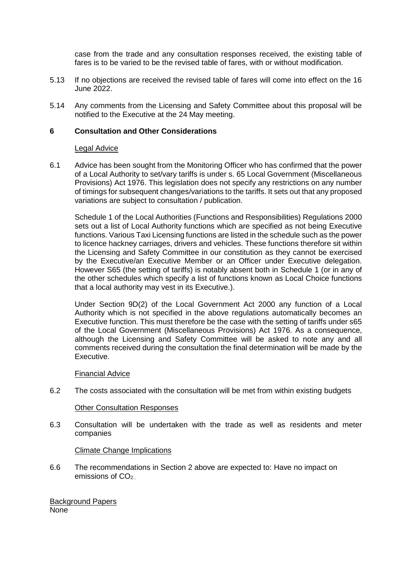case from the trade and any consultation responses received, the existing table of fares is to be varied to be the revised table of fares, with or without modification.

- 5.13 If no objections are received the revised table of fares will come into effect on the 16 June 2022.
- 5.14 Any comments from the Licensing and Safety Committee about this proposal will be notified to the Executive at the 24 May meeting.

### **6 Consultation and Other Considerations**

### Legal Advice

6.1 Advice has been sought from the Monitoring Officer who has confirmed that the power of a Local Authority to set/vary tariffs is under s. 65 Local Government (Miscellaneous Provisions) Act 1976. This legislation does not specify any restrictions on any number of timings for subsequent changes/variations to the tariffs. It sets out that any proposed variations are subject to consultation / publication.

Schedule 1 of the Local Authorities (Functions and Responsibilities) Regulations 2000 sets out a list of Local Authority functions which are specified as not being Executive functions. Various Taxi Licensing functions are listed in the schedule such as the power to licence hackney carriages, drivers and vehicles. These functions therefore sit within the Licensing and Safety Committee in our constitution as they cannot be exercised by the Executive/an Executive Member or an Officer under Executive delegation. However S65 (the setting of tariffs) is notably absent both in Schedule 1 (or in any of the other schedules which specify a list of functions known as Local Choice functions that a local authority may vest in its Executive.).

Under Section 9D(2) of the Local Government Act 2000 any function of a Local Authority which is not specified in the above regulations automatically becomes an Executive function. This must therefore be the case with the setting of tariffs under s65 of the Local Government (Miscellaneous Provisions) Act 1976. As a consequence, although the Licensing and Safety Committee will be asked to note any and all comments received during the consultation the final determination will be made by the Executive.

### Financial Advice

6.2 The costs associated with the consultation will be met from within existing budgets

### Other Consultation Responses

6.3 Consultation will be undertaken with the trade as well as residents and meter companies

### Climate Change Implications

6.6 The recommendations in Section 2 above are expected to: Have no impact on emissions of CO<sub>2</sub>.

Background Papers None